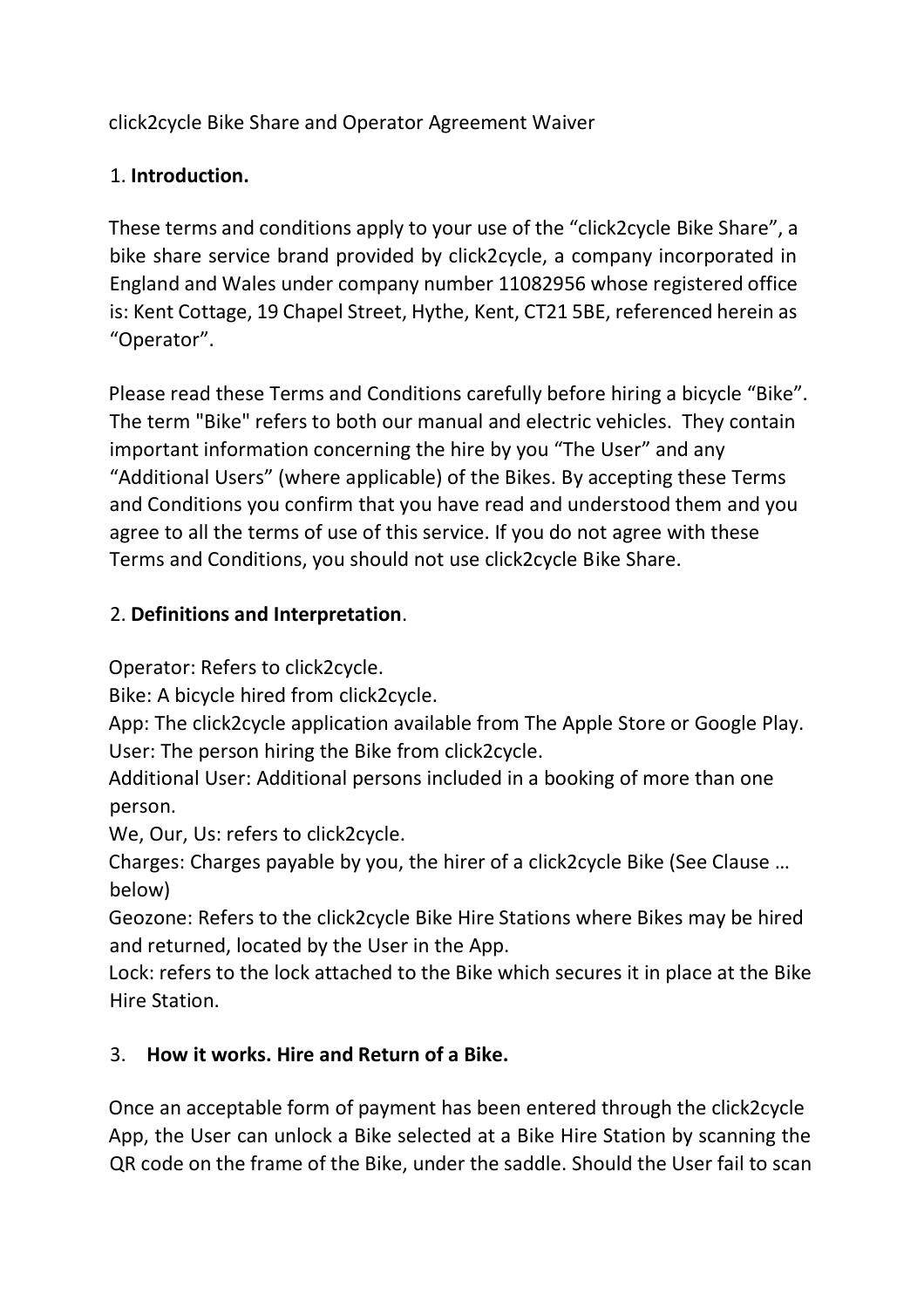click2cycle Bike Share and Operator Agreement Waiver

## 1. **Introduction.**

These terms and conditions apply to your use of the "click2cycle Bike Share", a bike share service brand provided by click2cycle, a company incorporated in England and Wales under company number 11082956 whose registered office is: Kent Cottage, 19 Chapel Street, Hythe, Kent, CT21 5BE, referenced herein as "Operator".

Please read these Terms and Conditions carefully before hiring a bicycle "Bike". The term "Bike" refers to both our manual and electric vehicles. They contain important information concerning the hire by you "The User" and any "Additional Users" (where applicable) of the Bikes. By accepting these Terms and Conditions you confirm that you have read and understood them and you agree to all the terms of use of this service. If you do not agree with these Terms and Conditions, you should not use click2cycle Bike Share.

## 2. **Definitions and Interpretation**.

Operator: Refers to click2cycle.

Bike: A bicycle hired from click2cycle.

App: The click2cycle application available from The Apple Store or Google Play. User: The person hiring the Bike from click2cycle.

Additional User: Additional persons included in a booking of more than one person.

We, Our, Us: refers to click2cycle.

Charges: Charges payable by you, the hirer of a click2cycle Bike (See Clause … below)

Geozone: Refers to the click2cycle Bike Hire Stations where Bikes may be hired and returned, located by the User in the App.

Lock: refers to the lock attached to the Bike which secures it in place at the Bike Hire Station.

# 3. **How it works. Hire and Return of a Bike.**

Once an acceptable form of payment has been entered through the click2cycle App, the User can unlock a Bike selected at a Bike Hire Station by scanning the QR code on the frame of the Bike, under the saddle. Should the User fail to scan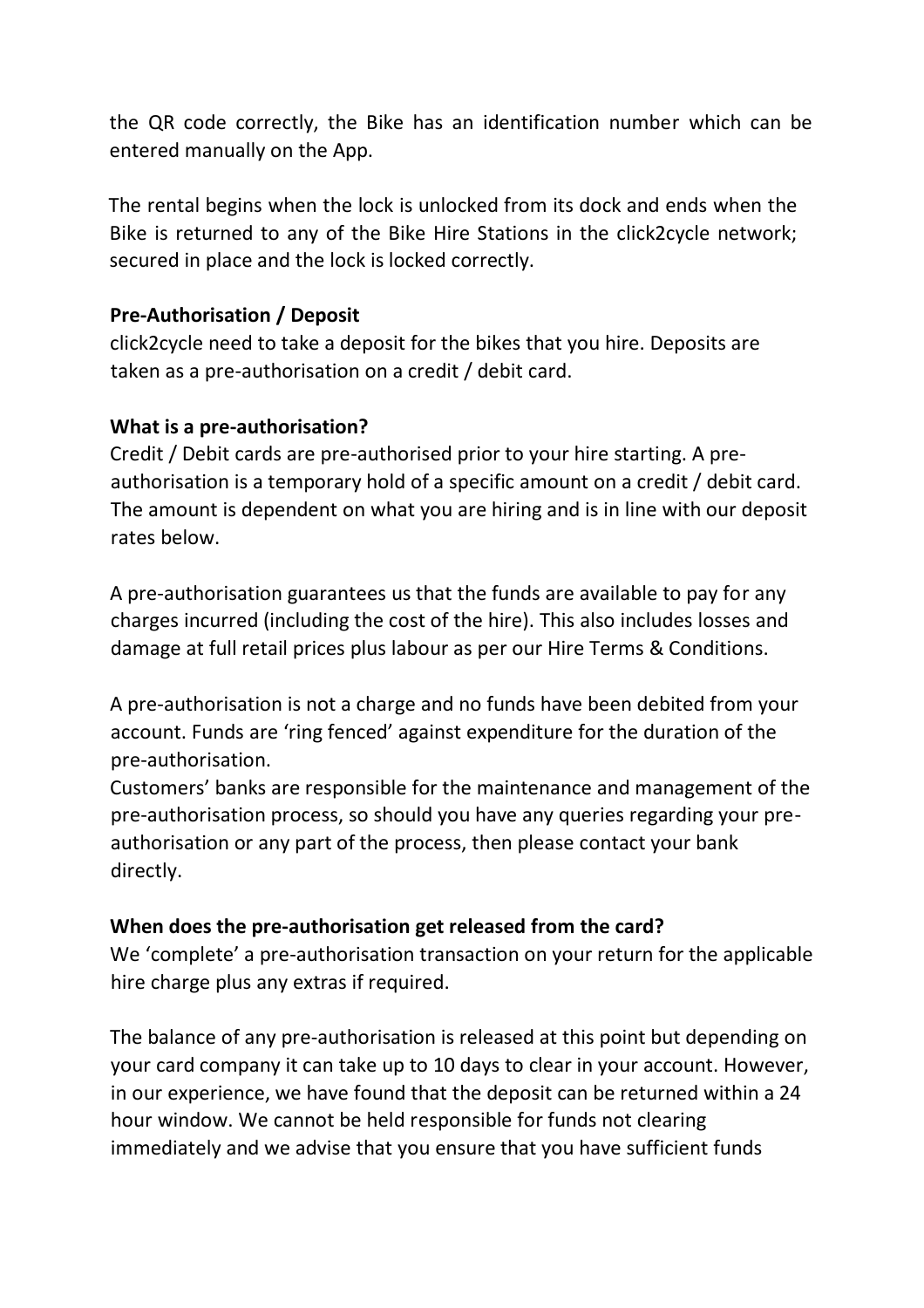the QR code correctly, the Bike has an identification number which can be entered manually on the App.

The rental begins when the lock is unlocked from its dock and ends when the Bike is returned to any of the Bike Hire Stations in the click2cycle network; secured in place and the lock is locked correctly.

## **Pre-Authorisation / Deposit**

click2cycle need to take a deposit for the bikes that you hire. Deposits are taken as a pre-authorisation on a credit / debit card.

### **What is a pre-authorisation?**

Credit / Debit cards are pre-authorised prior to your hire starting. A preauthorisation is a temporary hold of a specific amount on a credit / debit card. The amount is dependent on what you are hiring and is in line with our deposit rates below.

A pre-authorisation guarantees us that the funds are available to pay for any charges incurred (including the cost of the hire). This also includes losses and damage at full retail prices plus labour as per our Hire Terms & Conditions.

A pre-authorisation is not a charge and no funds have been debited from your account. Funds are 'ring fenced' against expenditure for the duration of the pre-authorisation.

Customers' banks are responsible for the maintenance and management of the pre-authorisation process, so should you have any queries regarding your preauthorisation or any part of the process, then please contact your bank directly.

### **When does the pre-authorisation get released from the card?**

We 'complete' a pre-authorisation transaction on your return for the applicable hire charge plus any extras if required.

The balance of any pre-authorisation is released at this point but depending on your card company it can take up to 10 days to clear in your account. However, in our experience, we have found that the deposit can be returned within a 24 hour window. We cannot be held responsible for funds not clearing immediately and we advise that you ensure that you have sufficient funds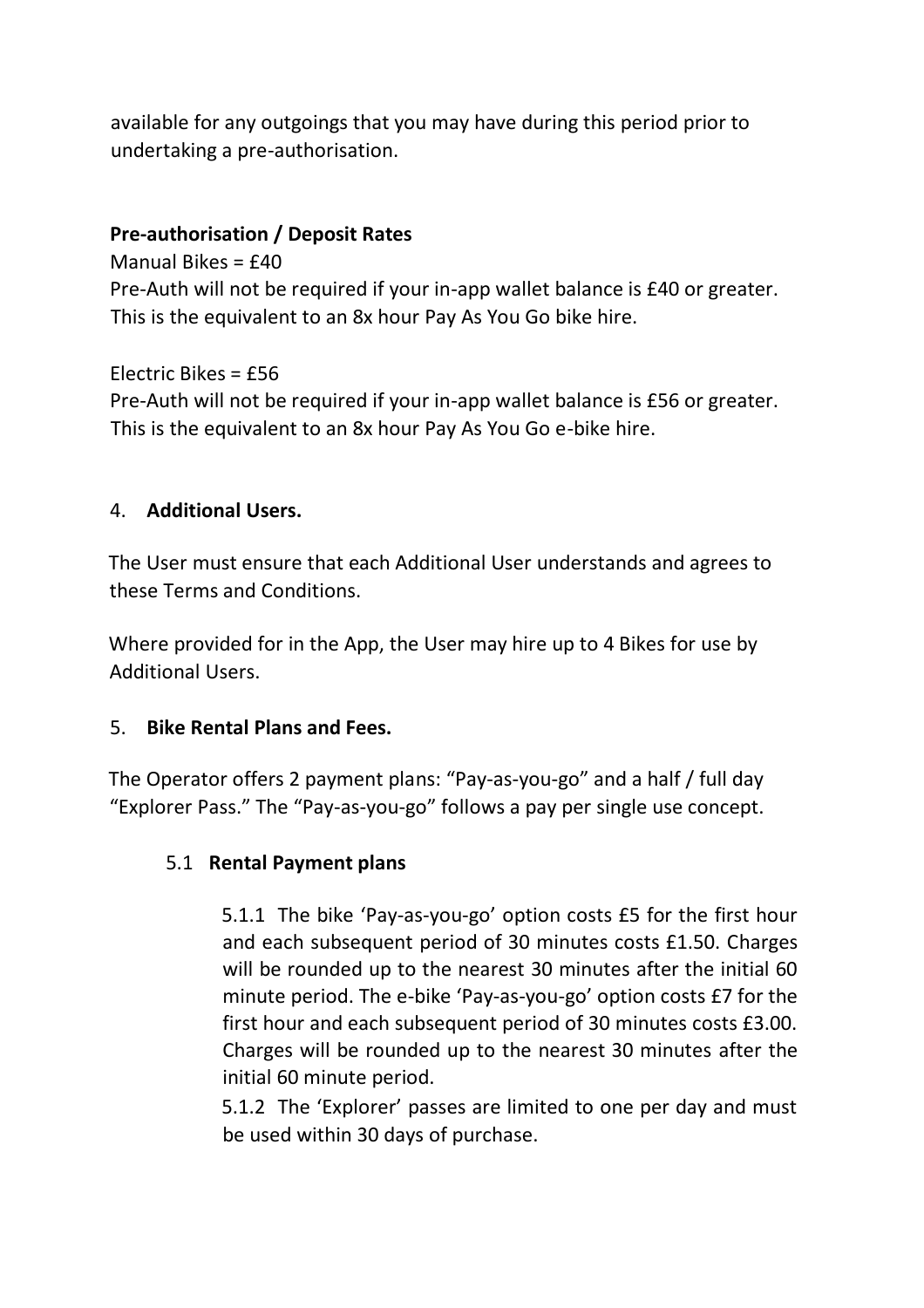available for any outgoings that you may have during this period prior to undertaking a pre-authorisation.

#### **Pre-authorisation / Deposit Rates**

Manual Bikes = £40 Pre-Auth will not be required if your in-app wallet balance is £40 or greater. This is the equivalent to an 8x hour Pay As You Go bike hire.

Electric Bikes = £56 Pre-Auth will not be required if your in-app wallet balance is £56 or greater. This is the equivalent to an 8x hour Pay As You Go e-bike hire.

#### 4. **Additional Users.**

The User must ensure that each Additional User understands and agrees to these Terms and Conditions.

Where provided for in the App, the User may hire up to 4 Bikes for use by Additional Users.

#### 5. **Bike Rental Plans and Fees.**

The Operator offers 2 payment plans: "Pay-as-you-go" and a half / full day "Explorer Pass." The "Pay-as-you-go" follows a pay per single use concept.

#### 5.1 **Rental Payment plans**

5.1.1 The bike 'Pay-as-you-go' option costs £5 for the first hour and each subsequent period of 30 minutes costs £1.50. Charges will be rounded up to the nearest 30 minutes after the initial 60 minute period. The e-bike 'Pay-as-you-go' option costs £7 for the first hour and each subsequent period of 30 minutes costs £3.00. Charges will be rounded up to the nearest 30 minutes after the initial 60 minute period.

5.1.2 The 'Explorer' passes are limited to one per day and must be used within 30 days of purchase.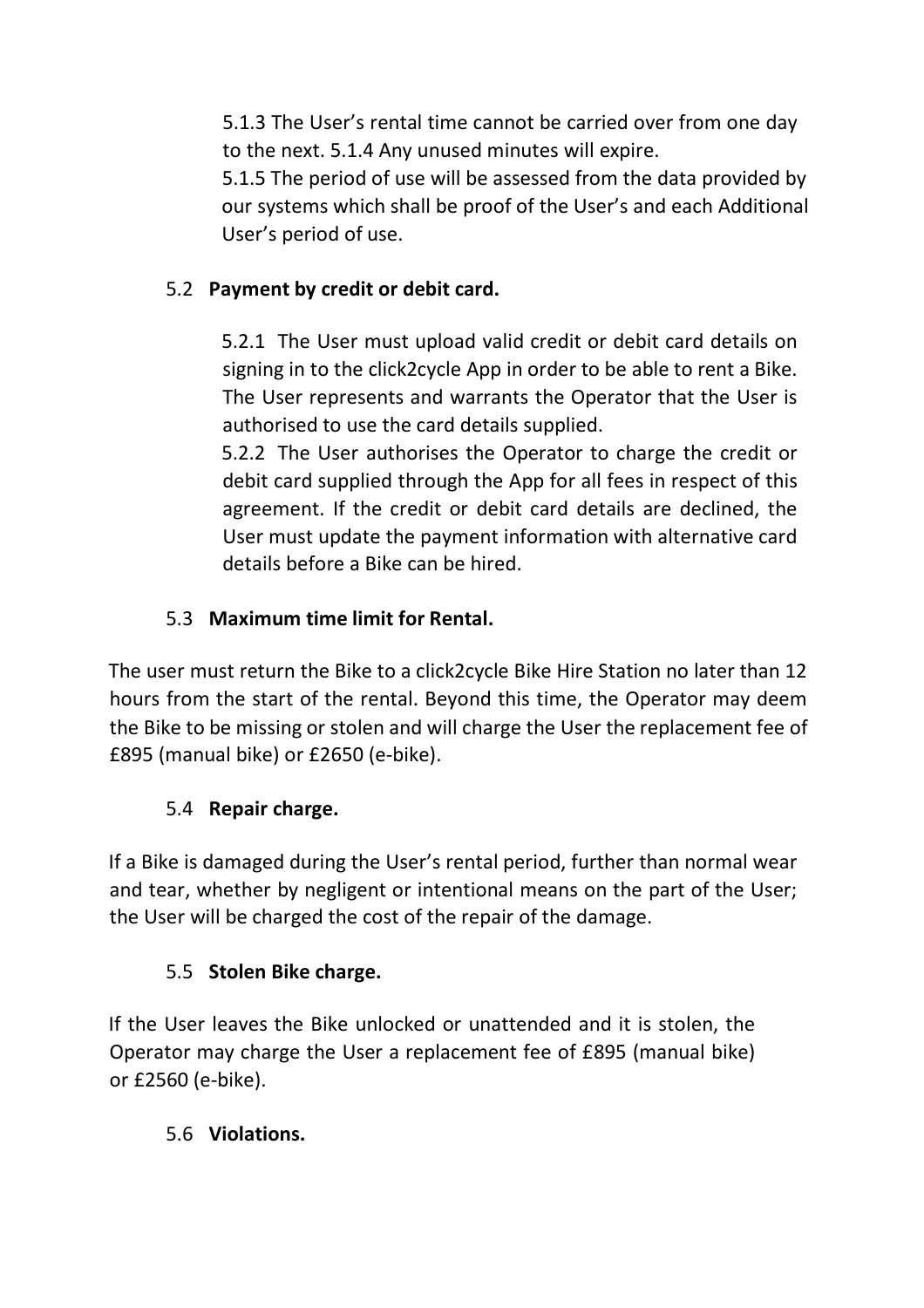5.1.3 The User's rental time cannot be carried over from one day to the next. 5.1.4 Any unused minutes will expire.

5.1.5 The period of use will be assessed from the data provided by our systems which shall be proof of the User's and each Additional User's period of use.

# 5.2 **Payment by credit or debit card.**

5.2.1 The User must upload valid credit or debit card details on signing in to the click2cycle App in order to be able to rent a Bike. The User represents and warrants the Operator that the User is authorised to use the card details supplied.

5.2.2 The User authorises the Operator to charge the credit or debit card supplied through the App for all fees in respect of this agreement. If the credit or debit card details are declined, the User must update the payment information with alternative card details before a Bike can be hired.

# 5.3 **Maximum time limit for Rental.**

The user must return the Bike to a click2cycle Bike Hire Station no later than 12 hours from the start of the rental. Beyond this time, the Operator may deem the Bike to be missing or stolen and will charge the User the replacement fee of £895 (manual bike) or £2650 (e-bike).

# 5.4 **Repair charge.**

If a Bike is damaged during the User's rental period, further than normal wear and tear, whether by negligent or intentional means on the part of the User; the User will be charged the cost of the repair of the damage.

# 5.5 **Stolen Bike charge.**

If the User leaves the Bike unlocked or unattended and it is stolen, the Operator may charge the User a replacement fee of £895 (manual bike) or £2560 (e-bike).

# 5.6 **Violations.**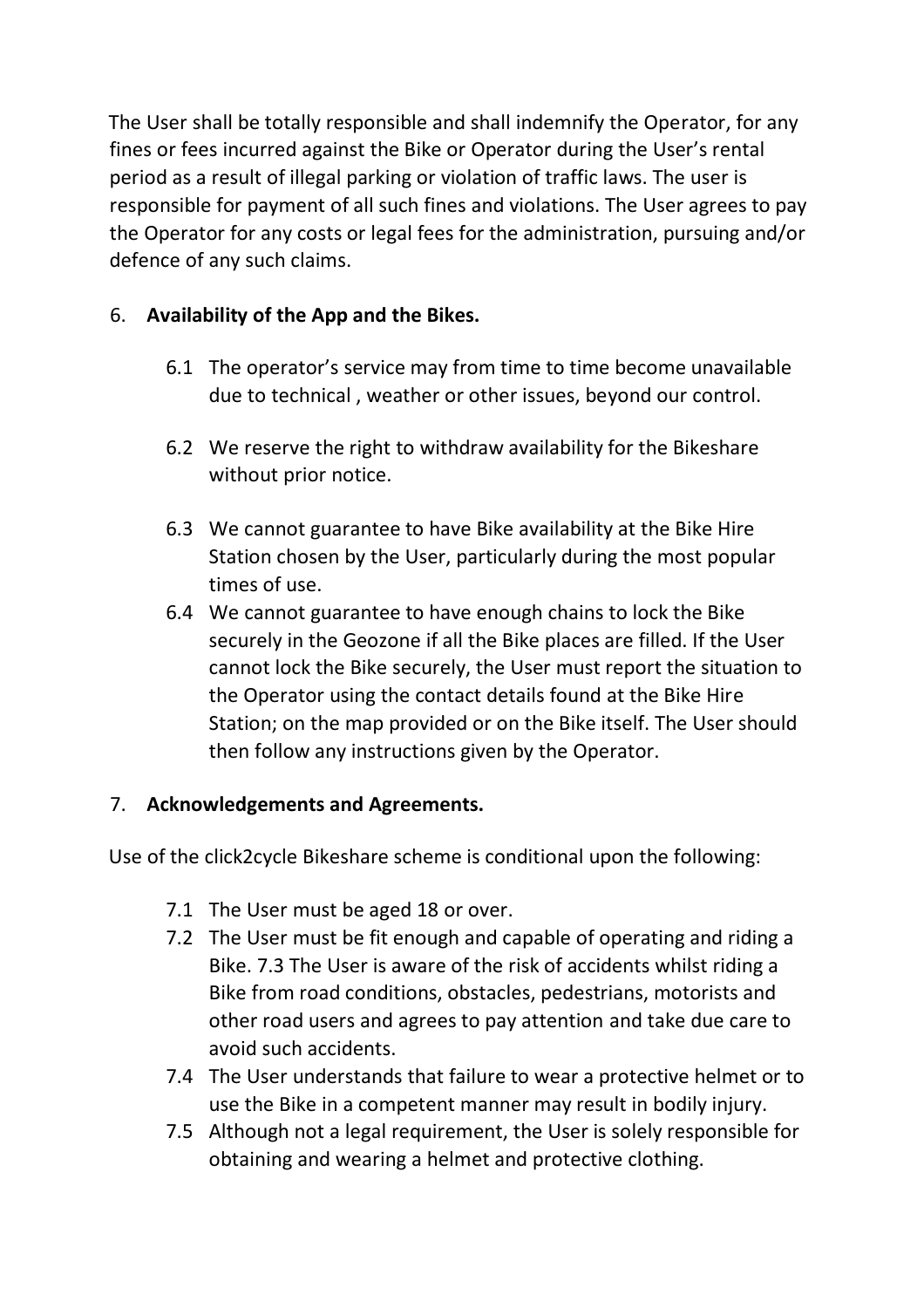The User shall be totally responsible and shall indemnify the Operator, for any fines or fees incurred against the Bike or Operator during the User's rental period as a result of illegal parking or violation of traffic laws. The user is responsible for payment of all such fines and violations. The User agrees to pay the Operator for any costs or legal fees for the administration, pursuing and/or defence of any such claims.

## 6. **Availability of the App and the Bikes.**

- 6.1 The operator's service may from time to time become unavailable due to technical , weather or other issues, beyond our control.
- 6.2 We reserve the right to withdraw availability for the Bikeshare without prior notice.
- 6.3 We cannot guarantee to have Bike availability at the Bike Hire Station chosen by the User, particularly during the most popular times of use.
- 6.4 We cannot guarantee to have enough chains to lock the Bike securely in the Geozone if all the Bike places are filled. If the User cannot lock the Bike securely, the User must report the situation to the Operator using the contact details found at the Bike Hire Station; on the map provided or on the Bike itself. The User should then follow any instructions given by the Operator.

### 7. **Acknowledgements and Agreements.**

Use of the click2cycle Bikeshare scheme is conditional upon the following:

- 7.1 The User must be aged 18 or over.
- 7.2 The User must be fit enough and capable of operating and riding a Bike. 7.3 The User is aware of the risk of accidents whilst riding a Bike from road conditions, obstacles, pedestrians, motorists and other road users and agrees to pay attention and take due care to avoid such accidents.
- 7.4 The User understands that failure to wear a protective helmet or to use the Bike in a competent manner may result in bodily injury.
- 7.5 Although not a legal requirement, the User is solely responsible for obtaining and wearing a helmet and protective clothing.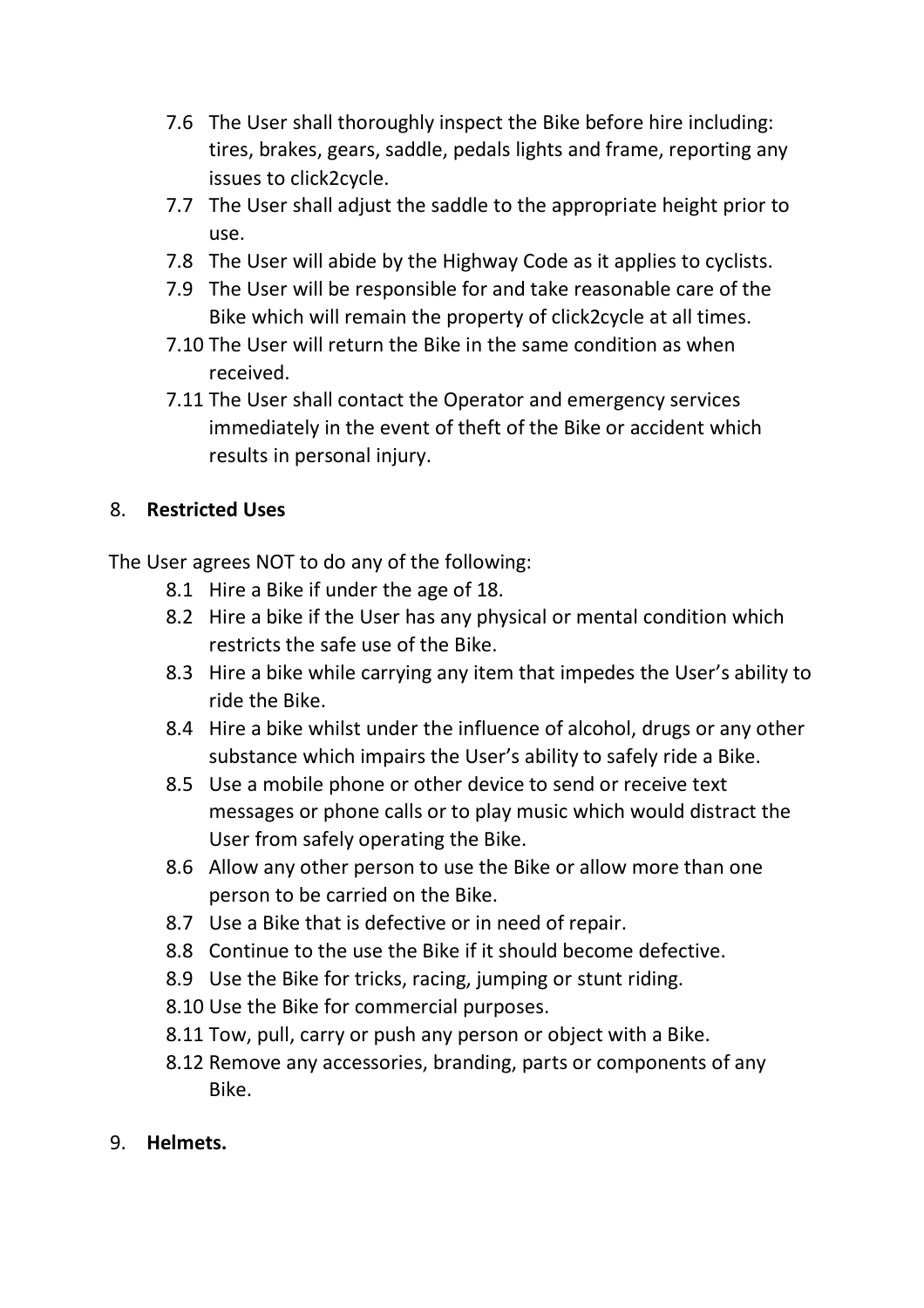- 7.6 The User shall thoroughly inspect the Bike before hire including: tires, brakes, gears, saddle, pedals lights and frame, reporting any issues to click2cycle.
- 7.7 The User shall adjust the saddle to the appropriate height prior to use.
- 7.8 The User will abide by the Highway Code as it applies to cyclists.
- 7.9 The User will be responsible for and take reasonable care of the Bike which will remain the property of click2cycle at all times.
- 7.10 The User will return the Bike in the same condition as when received.
- 7.11 The User shall contact the Operator and emergency services immediately in the event of theft of the Bike or accident which results in personal injury.

## 8. **Restricted Uses**

The User agrees NOT to do any of the following:

- 8.1 Hire a Bike if under the age of 18.
- 8.2 Hire a bike if the User has any physical or mental condition which restricts the safe use of the Bike.
- 8.3 Hire a bike while carrying any item that impedes the User's ability to ride the Bike.
- 8.4 Hire a bike whilst under the influence of alcohol, drugs or any other substance which impairs the User's ability to safely ride a Bike.
- 8.5 Use a mobile phone or other device to send or receive text messages or phone calls or to play music which would distract the User from safely operating the Bike.
- 8.6 Allow any other person to use the Bike or allow more than one person to be carried on the Bike.
- 8.7 Use a Bike that is defective or in need of repair.
- 8.8 Continue to the use the Bike if it should become defective.
- 8.9 Use the Bike for tricks, racing, jumping or stunt riding.
- 8.10 Use the Bike for commercial purposes.
- 8.11 Tow, pull, carry or push any person or object with a Bike.
- 8.12 Remove any accessories, branding, parts or components of any Bike.
- 9. **Helmets.**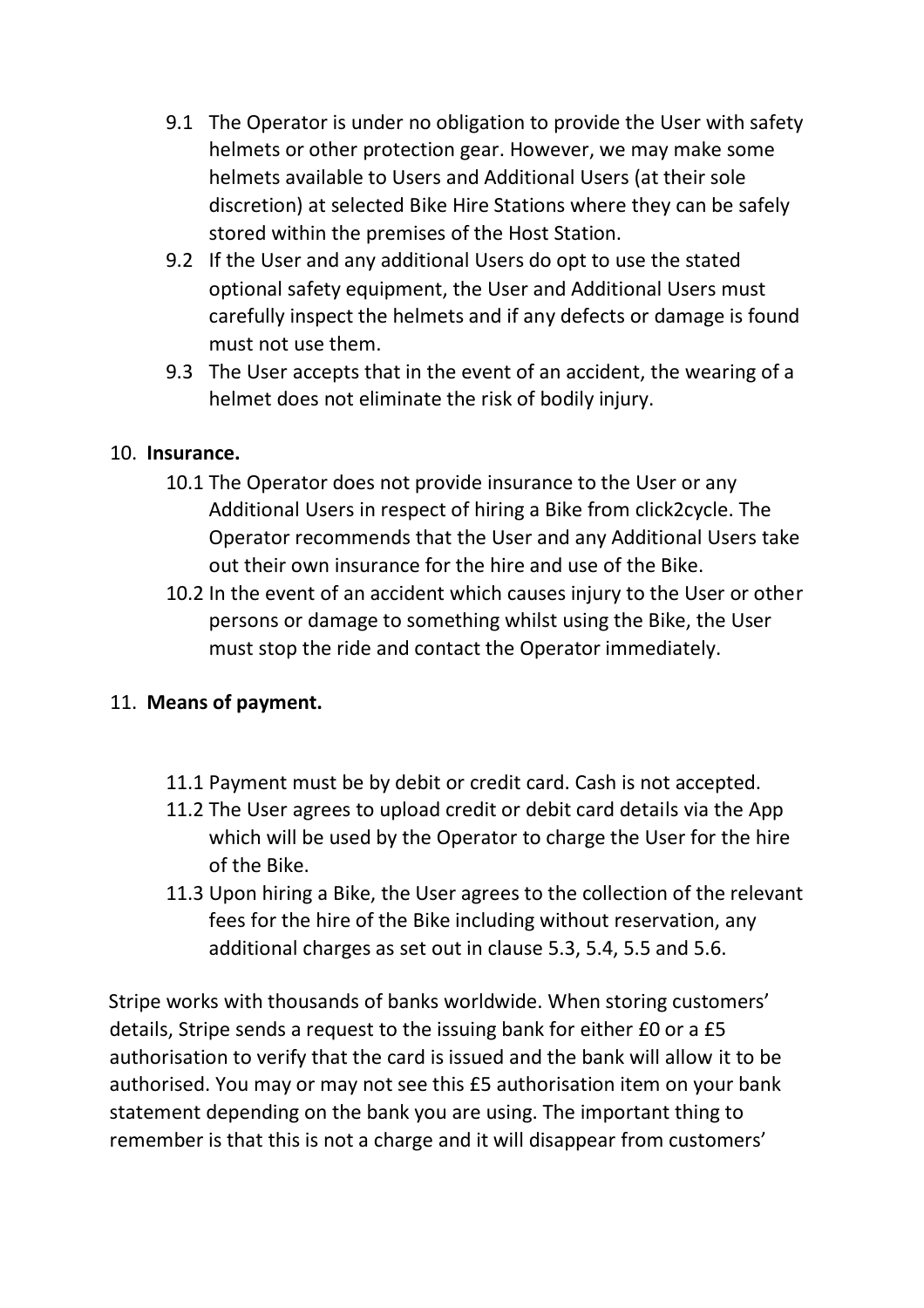- 9.1 The Operator is under no obligation to provide the User with safety helmets or other protection gear. However, we may make some helmets available to Users and Additional Users (at their sole discretion) at selected Bike Hire Stations where they can be safely stored within the premises of the Host Station.
- 9.2 If the User and any additional Users do opt to use the stated optional safety equipment, the User and Additional Users must carefully inspect the helmets and if any defects or damage is found must not use them.
- 9.3 The User accepts that in the event of an accident, the wearing of a helmet does not eliminate the risk of bodily injury.

### 10. **Insurance.**

- 10.1 The Operator does not provide insurance to the User or any Additional Users in respect of hiring a Bike from click2cycle. The Operator recommends that the User and any Additional Users take out their own insurance for the hire and use of the Bike.
- 10.2 In the event of an accident which causes injury to the User or other persons or damage to something whilst using the Bike, the User must stop the ride and contact the Operator immediately.

### 11. **Means of payment.**

- 11.1 Payment must be by debit or credit card. Cash is not accepted.
- 11.2 The User agrees to upload credit or debit card details via the App which will be used by the Operator to charge the User for the hire of the Bike.
- 11.3 Upon hiring a Bike, the User agrees to the collection of the relevant fees for the hire of the Bike including without reservation, any additional charges as set out in clause 5.3, 5.4, 5.5 and 5.6.

Stripe works with thousands of banks worldwide. When storing customers' details, Stripe sends a request to the issuing bank for either £0 or a £5 authorisation to verify that the card is issued and the bank will allow it to be authorised. You may or may not see this £5 authorisation item on your bank statement depending on the bank you are using. The important thing to remember is that this is not a charge and it will disappear from customers'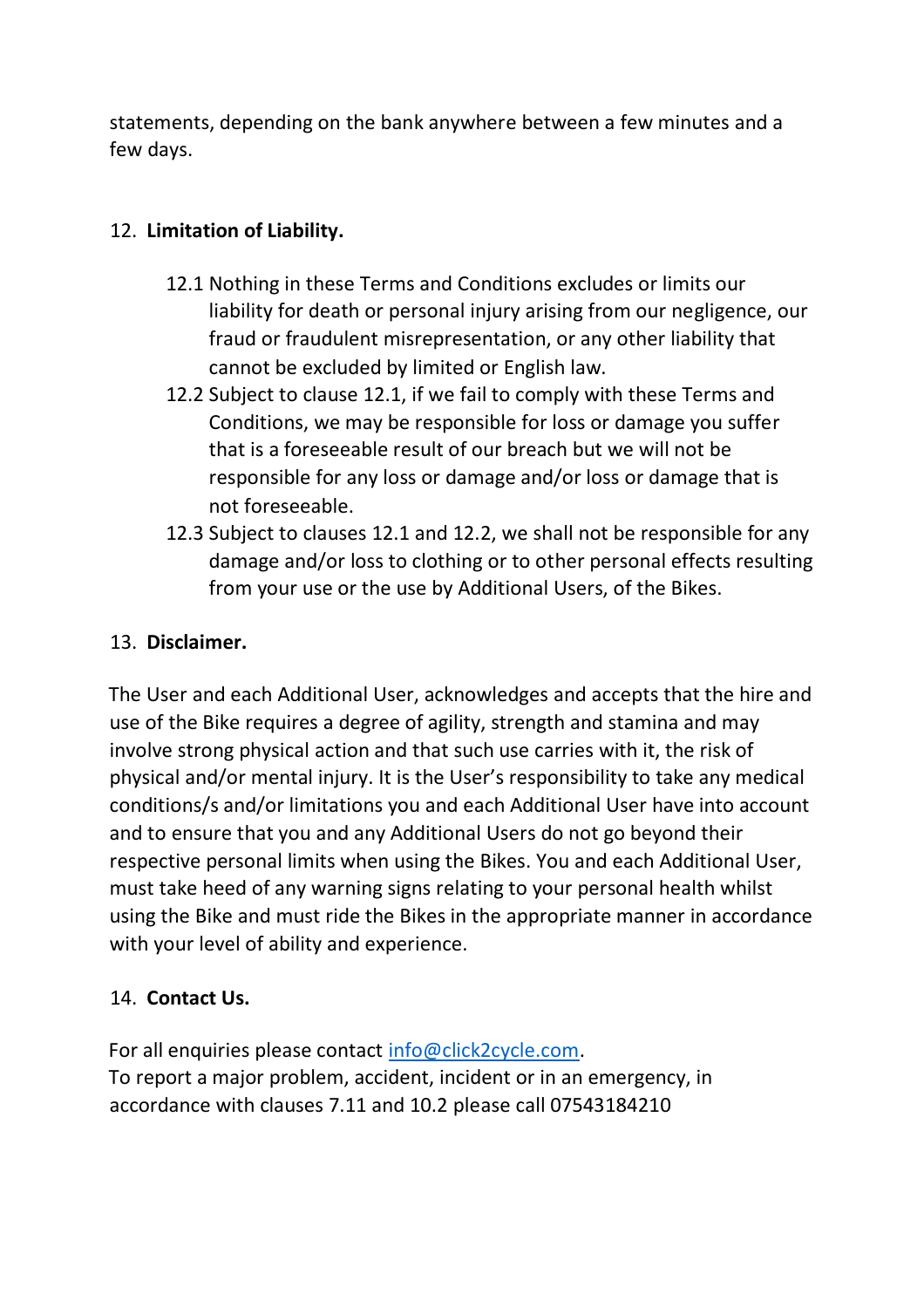statements, depending on the bank anywhere between a few minutes and a few days.

# 12. **Limitation of Liability.**

- 12.1 Nothing in these Terms and Conditions excludes or limits our liability for death or personal injury arising from our negligence, our fraud or fraudulent misrepresentation, or any other liability that cannot be excluded by limited or English law.
- 12.2 Subject to clause 12.1, if we fail to comply with these Terms and Conditions, we may be responsible for loss or damage you suffer that is a foreseeable result of our breach but we will not be responsible for any loss or damage and/or loss or damage that is not foreseeable.
- 12.3 Subject to clauses 12.1 and 12.2, we shall not be responsible for any damage and/or loss to clothing or to other personal effects resulting from your use or the use by Additional Users, of the Bikes.

# 13. **Disclaimer.**

The User and each Additional User, acknowledges and accepts that the hire and use of the Bike requires a degree of agility, strength and stamina and may involve strong physical action and that such use carries with it, the risk of physical and/or mental injury. It is the User's responsibility to take any medical conditions/s and/or limitations you and each Additional User have into account and to ensure that you and any Additional Users do not go beyond their respective personal limits when using the Bikes. You and each Additional User, must take heed of any warning signs relating to your personal health whilst using the Bike and must ride the Bikes in the appropriate manner in accordance with your level of ability and experience.

# 14. **Contact Us.**

For all enquiries please contact info@click2cycle.com. To report a major problem, accident, incident or in an emergency, in accordance with clauses 7.11 and 10.2 please call 07543184210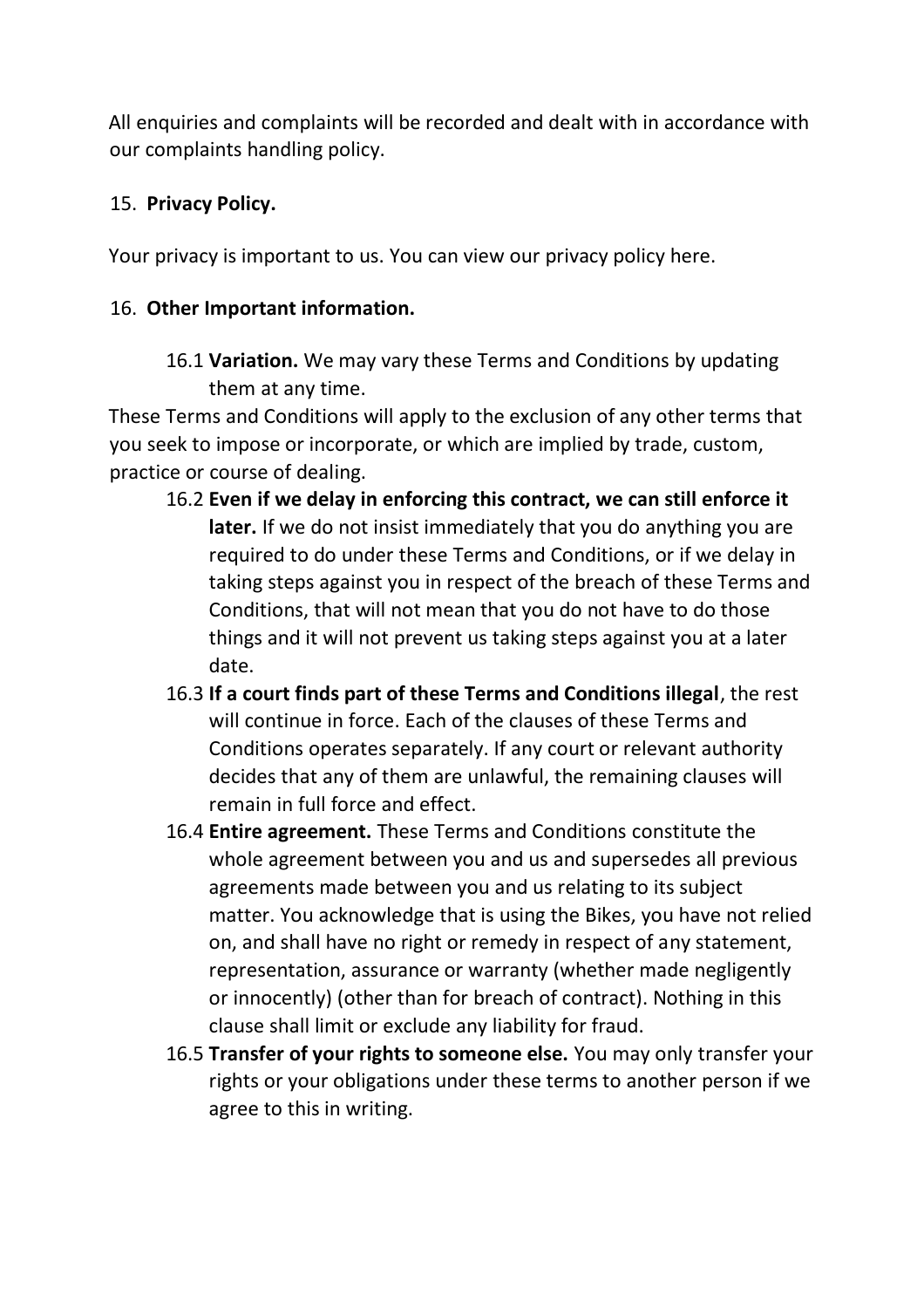All enquiries and complaints will be recorded and dealt with in accordance with our complaints handling policy.

### 15. **Privacy Policy.**

Your privacy is important to us. You can view our privacy policy here.

#### 16. **Other Important information.**

16.1 **Variation.** We may vary these Terms and Conditions by updating them at any time.

These Terms and Conditions will apply to the exclusion of any other terms that you seek to impose or incorporate, or which are implied by trade, custom, practice or course of dealing.

- 16.2 **Even if we delay in enforcing this contract, we can still enforce it later.** If we do not insist immediately that you do anything you are required to do under these Terms and Conditions, or if we delay in taking steps against you in respect of the breach of these Terms and Conditions, that will not mean that you do not have to do those things and it will not prevent us taking steps against you at a later date.
- 16.3 **If a court finds part of these Terms and Conditions illegal**, the rest will continue in force. Each of the clauses of these Terms and Conditions operates separately. If any court or relevant authority decides that any of them are unlawful, the remaining clauses will remain in full force and effect.
- 16.4 **Entire agreement.** These Terms and Conditions constitute the whole agreement between you and us and supersedes all previous agreements made between you and us relating to its subject matter. You acknowledge that is using the Bikes, you have not relied on, and shall have no right or remedy in respect of any statement, representation, assurance or warranty (whether made negligently or innocently) (other than for breach of contract). Nothing in this clause shall limit or exclude any liability for fraud.
- 16.5 **Transfer of your rights to someone else.** You may only transfer your rights or your obligations under these terms to another person if we agree to this in writing.